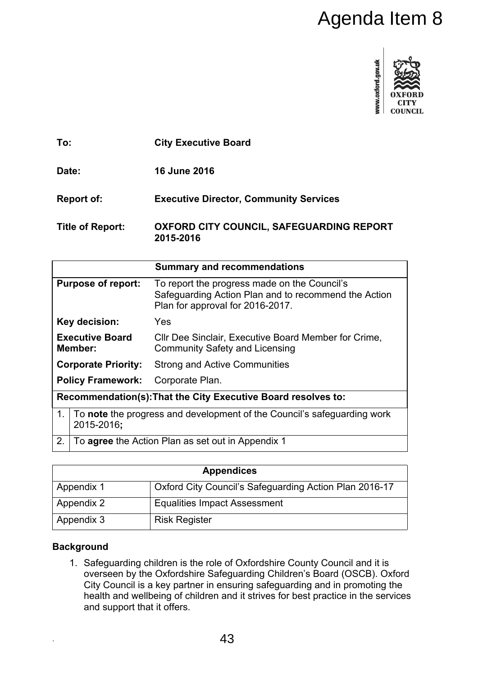

|                                                                                             | Agenda Item 8                                                                                                                                                                                                                                                                                                                |  |
|---------------------------------------------------------------------------------------------|------------------------------------------------------------------------------------------------------------------------------------------------------------------------------------------------------------------------------------------------------------------------------------------------------------------------------|--|
|                                                                                             | www.oxford.gov.uk<br>COUNCIL                                                                                                                                                                                                                                                                                                 |  |
| To:                                                                                         | <b>City Executive Board</b>                                                                                                                                                                                                                                                                                                  |  |
| Date:                                                                                       | <b>16 June 2016</b>                                                                                                                                                                                                                                                                                                          |  |
| <b>Report of:</b>                                                                           | <b>Executive Director, Community Services</b>                                                                                                                                                                                                                                                                                |  |
| <b>Title of Report:</b>                                                                     | <b>OXFORD CITY COUNCIL, SAFEGUARDING REPORT</b><br>2015-2016                                                                                                                                                                                                                                                                 |  |
|                                                                                             | <b>Summary and recommendations</b>                                                                                                                                                                                                                                                                                           |  |
| <b>Purpose of report:</b>                                                                   | To report the progress made on the Council's<br>Safeguarding Action Plan and to recommend the Action<br>Plan for approval for 2016-2017.                                                                                                                                                                                     |  |
| Key decision:                                                                               | Yes                                                                                                                                                                                                                                                                                                                          |  |
| <b>Executive Board</b><br>Member:                                                           | CIIr Dee Sinclair, Executive Board Member for Crime,<br><b>Community Safety and Licensing</b>                                                                                                                                                                                                                                |  |
| <b>Corporate Priority:</b>                                                                  | <b>Strong and Active Communities</b>                                                                                                                                                                                                                                                                                         |  |
| <b>Policy Framework:</b>                                                                    | Corporate Plan.                                                                                                                                                                                                                                                                                                              |  |
|                                                                                             | Recommendation(s): That the City Executive Board resolves to:                                                                                                                                                                                                                                                                |  |
| To note the progress and development of the Council's safeguarding work<br>1.<br>2015-2016; |                                                                                                                                                                                                                                                                                                                              |  |
| To agree the Action Plan as set out in Appendix 1<br>2.                                     |                                                                                                                                                                                                                                                                                                                              |  |
|                                                                                             | <b>Appendices</b>                                                                                                                                                                                                                                                                                                            |  |
| Appendix 1                                                                                  | Oxford City Council's Safeguarding Action Plan 2016-17                                                                                                                                                                                                                                                                       |  |
| <b>Appendix 2</b>                                                                           | <b>Equalities Impact Assessment</b>                                                                                                                                                                                                                                                                                          |  |
| Appendix 3                                                                                  | <b>Risk Register</b>                                                                                                                                                                                                                                                                                                         |  |
| <b>Background</b><br>and support that it offers.                                            | 1. Safeguarding children is the role of Oxfordshire County Council and it is<br>overseen by the Oxfordshire Safeguarding Children's Board (OSCB). Oxford<br>City Council is a key partner in ensuring safeguarding and in promoting the<br>health and wellbeing of children and it strives for best practice in the services |  |
|                                                                                             | 43                                                                                                                                                                                                                                                                                                                           |  |

| <b>Appendices</b> |                                                        |  |
|-------------------|--------------------------------------------------------|--|
| Appendix 1        | Oxford City Council's Safeguarding Action Plan 2016-17 |  |
| Appendix 2        | <b>Equalities Impact Assessment</b>                    |  |
| Appendix 3        | <b>Risk Register</b>                                   |  |

# **Background**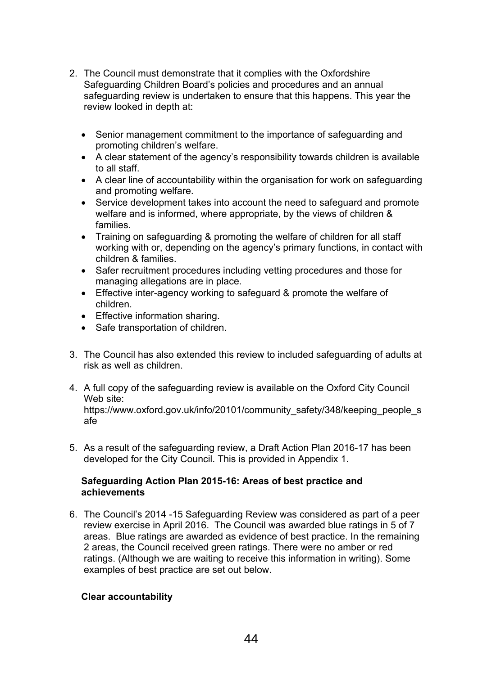- 2. The Council must demonstrate that it complies with the Oxfordshire Safeguarding Children Board's policies and procedures and an annual safeguarding review is undertaken to ensure that this happens. This year the review looked in depth at:
	- Senior management commitment to the importance of safeguarding and promoting children's welfare.
	- A clear statement of the agency's responsibility towards children is available to all staff.
	- A clear line of accountability within the organisation for work on safeguarding and promoting welfare.
	- Service development takes into account the need to safeguard and promote welfare and is informed, where appropriate, by the views of children & families.
	- Training on safeguarding & promoting the welfare of children for all staff working with or, depending on the agency's primary functions, in contact with children & families.
	- Safer recruitment procedures including vetting procedures and those for managing allegations are in place.
	- Effective inter-agency working to safeguard & promote the welfare of children.
	- Effective information sharing.
	- Safe transportation of children.
- 3. The Council has also extended this review to included safeguarding of adults at risk as well as children.
- 4. A full copy of the safeguarding review is available on the Oxford City Council Web site: https://www.oxford.gov.uk/info/20101/community\_safety/348/keeping\_people\_s afe
- 5. As a result of the safeguarding review, a Draft Action Plan 2016-17 has been developed for the City Council. This is provided in Appendix 1.

## **Safeguarding Action Plan 2015-16: Areas of best practice and achievements**

6. The Council's 2014 -15 Safeguarding Review was considered as part of a peer review exercise in April 2016. The Council was awarded blue ratings in 5 of 7 areas. Blue ratings are awarded as evidence of best practice. In the remaining 2 areas, the Council received green ratings. There were no amber or red ratings. (Although we are waiting to receive this information in writing). Some examples of best practice are set out below.

# **Clear accountability**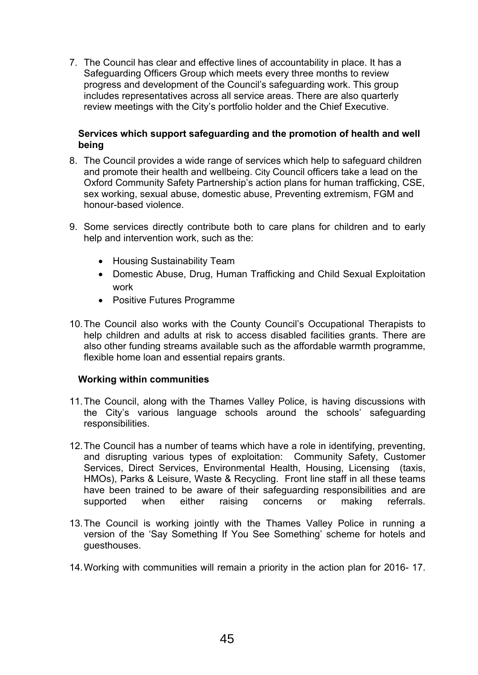7. The Council has clear and effective lines of accountability in place. It has a Safeguarding Officers Group which meets every three months to review progress and development of the Council's safeguarding work. This group includes representatives across all service areas. There are also quarterly review meetings with the City's portfolio holder and the Chief Executive.

## **Services which support safeguarding and the promotion of health and well being**

- 8. The Council provides a wide range of services which help to safeguard children and promote their health and wellbeing. City Council officers take a lead on the Oxford Community Safety Partnership's action plans for human trafficking, CSE, sex working, sexual abuse, domestic abuse, Preventing extremism, FGM and honour-based violence.
- 9. Some services directly contribute both to care plans for children and to early help and intervention work, such as the:
	- Housing Sustainability Team
	- Domestic Abuse, Drug, Human Trafficking and Child Sexual Exploitation work
	- Positive Futures Programme
- 10.The Council also works with the County Council's Occupational Therapists to help children and adults at risk to access disabled facilities grants. There are also other funding streams available such as the affordable warmth programme, flexible home loan and essential repairs grants.

## **Working within communities**

- 11.The Council, along with the Thames Valley Police, is having discussions with the City's various language schools around the schools' safeguarding responsibilities.
- 12.The Council has a number of teams which have a role in identifying, preventing, and disrupting various types of exploitation: Community Safety, Customer Services, Direct Services, Environmental Health, Housing, Licensing (taxis, HMOs), Parks & Leisure, Waste & Recycling. Front line staff in all these teams have been trained to be aware of their safeguarding responsibilities and are supported when either raising concerns or making referrals.
- 13.The Council is working jointly with the Thames Valley Police in running a version of the 'Say Something If You See Something' scheme for hotels and guesthouses.
- 14.Working with communities will remain a priority in the action plan for 2016- 17.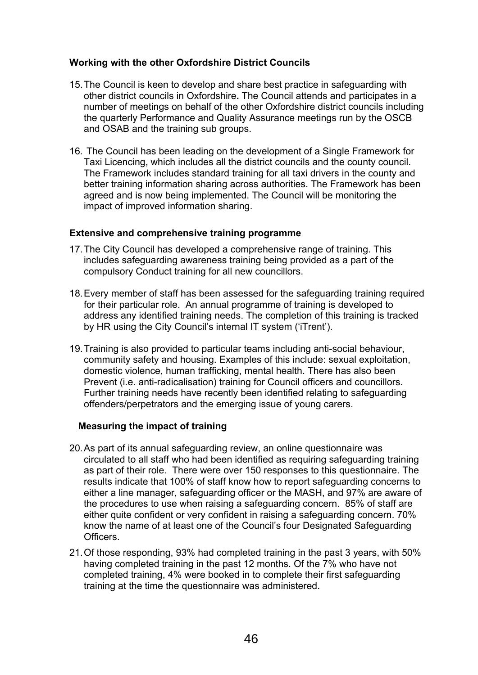## **Working with the other Oxfordshire District Councils**

- 15.The Council is keen to develop and share best practice in safeguarding with other district councils in Oxfordshire**.** The Council attends and participates in a number of meetings on behalf of the other Oxfordshire district councils including the quarterly Performance and Quality Assurance meetings run by the OSCB and OSAB and the training sub groups.
- 16. The Council has been leading on the development of a Single Framework for Taxi Licencing, which includes all the district councils and the county council. The Framework includes standard training for all taxi drivers in the county and better training information sharing across authorities. The Framework has been agreed and is now being implemented. The Council will be monitoring the impact of improved information sharing.

## **Extensive and comprehensive training programme**

- 17.The City Council has developed a comprehensive range of training. This includes safeguarding awareness training being provided as a part of the compulsory Conduct training for all new councillors.
- 18.Every member of staff has been assessed for the safeguarding training required for their particular role. An annual programme of training is developed to address any identified training needs. The completion of this training is tracked by HR using the City Council's internal IT system ('iTrent').
- 19.Training is also provided to particular teams including anti-social behaviour, community safety and housing. Examples of this include: sexual exploitation, domestic violence, human trafficking, mental health. There has also been Prevent (i.e. anti-radicalisation) training for Council officers and councillors. Further training needs have recently been identified relating to safeguarding offenders/perpetrators and the emerging issue of young carers.

## **Measuring the impact of training**

- 20.As part of its annual safeguarding review, an online questionnaire was circulated to all staff who had been identified as requiring safeguarding training as part of their role. There were over 150 responses to this questionnaire. The results indicate that 100% of staff know how to report safeguarding concerns to either a line manager, safeguarding officer or the MASH, and 97% are aware of the procedures to use when raising a safeguarding concern. 85% of staff are either quite confident or very confident in raising a safeguarding concern. 70% know the name of at least one of the Council's four Designated Safeguarding Officers.
- 21.Of those responding, 93% had completed training in the past 3 years, with 50% having completed training in the past 12 months. Of the 7% who have not completed training, 4% were booked in to complete their first safeguarding training at the time the questionnaire was administered.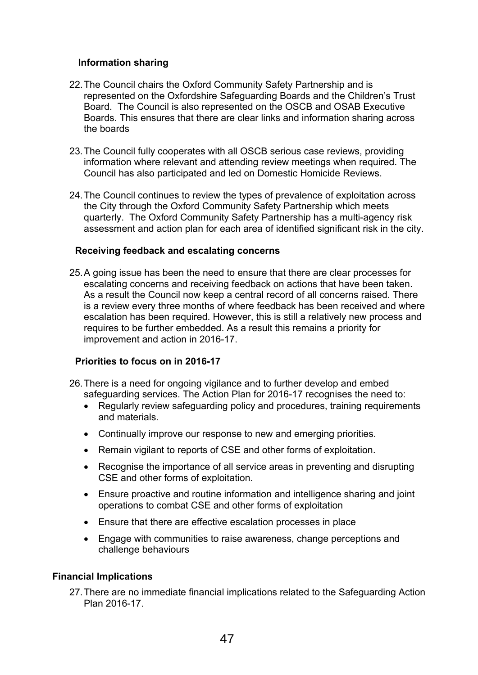## **Information sharing**

- 22.The Council chairs the Oxford Community Safety Partnership and is represented on the Oxfordshire Safeguarding Boards and the Children's Trust Board. The Council is also represented on the OSCB and OSAB Executive Boards. This ensures that there are clear links and information sharing across the boards
- 23.The Council fully cooperates with all OSCB serious case reviews, providing information where relevant and attending review meetings when required. The Council has also participated and led on Domestic Homicide Reviews.
- 24.The Council continues to review the types of prevalence of exploitation across the City through the Oxford Community Safety Partnership which meets quarterly. The Oxford Community Safety Partnership has a multi-agency risk assessment and action plan for each area of identified significant risk in the city.

## **Receiving feedback and escalating concerns**

25.A going issue has been the need to ensure that there are clear processes for escalating concerns and receiving feedback on actions that have been taken. As a result the Council now keep a central record of all concerns raised. There is a review every three months of where feedback has been received and where escalation has been required. However, this is still a relatively new process and requires to be further embedded. As a result this remains a priority for improvement and action in 2016-17.

# **Priorities to focus on in 2016-17**

- 26.There is a need for ongoing vigilance and to further develop and embed safeguarding services. The Action Plan for 2016-17 recognises the need to:
	- Regularly review safeguarding policy and procedures, training requirements and materials.
	- Continually improve our response to new and emerging priorities.
	- Remain vigilant to reports of CSE and other forms of exploitation.
	- Recognise the importance of all service areas in preventing and disrupting CSE and other forms of exploitation.
	- Ensure proactive and routine information and intelligence sharing and joint operations to combat CSE and other forms of exploitation
	- Ensure that there are effective escalation processes in place
	- Engage with communities to raise awareness, change perceptions and challenge behaviours

## **Financial Implications**

27.There are no immediate financial implications related to the Safeguarding Action Plan 2016-17.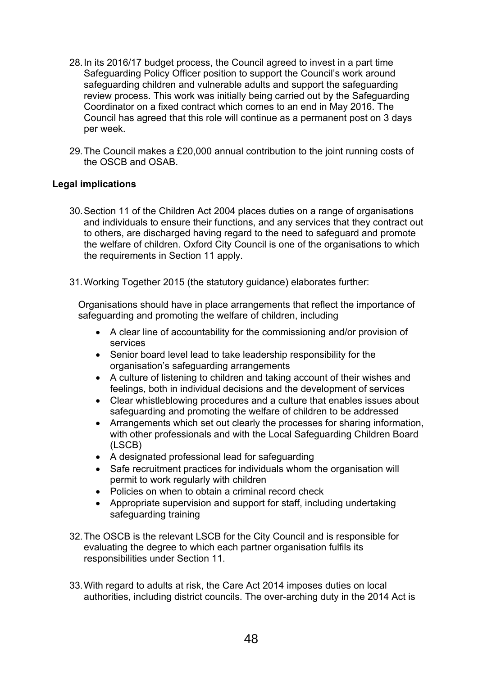- 28.In its 2016/17 budget process, the Council agreed to invest in a part time Safeguarding Policy Officer position to support the Council's work around safeguarding children and vulnerable adults and support the safeguarding review process. This work was initially being carried out by the Safeguarding Coordinator on a fixed contract which comes to an end in May 2016. The Council has agreed that this role will continue as a permanent post on 3 days per week.
- 29.The Council makes a £20,000 annual contribution to the joint running costs of the OSCB and OSAB.

## **Legal implications**

- 30.Section 11 of the Children Act 2004 places duties on a range of organisations and individuals to ensure their functions, and any services that they contract out to others, are discharged having regard to the need to safeguard and promote the welfare of children. Oxford City Council is one of the organisations to which the requirements in Section 11 apply.
- 31.Working Together 2015 (the statutory guidance) elaborates further:

Organisations should have in place arrangements that reflect the importance of safeguarding and promoting the welfare of children, including

- A clear line of accountability for the commissioning and/or provision of services
- Senior board level lead to take leadership responsibility for the organisation's safeguarding arrangements
- A culture of listening to children and taking account of their wishes and feelings, both in individual decisions and the development of services
- Clear whistleblowing procedures and a culture that enables issues about safeguarding and promoting the welfare of children to be addressed
- Arrangements which set out clearly the processes for sharing information, with other professionals and with the Local Safeguarding Children Board (LSCB)
- A designated professional lead for safeguarding
- Safe recruitment practices for individuals whom the organisation will permit to work regularly with children
- Policies on when to obtain a criminal record check
- Appropriate supervision and support for staff, including undertaking safeguarding training
- 32.The OSCB is the relevant LSCB for the City Council and is responsible for evaluating the degree to which each partner organisation fulfils its responsibilities under Section 11.
- 33.With regard to adults at risk, the Care Act 2014 imposes duties on local authorities, including district councils. The over-arching duty in the 2014 Act is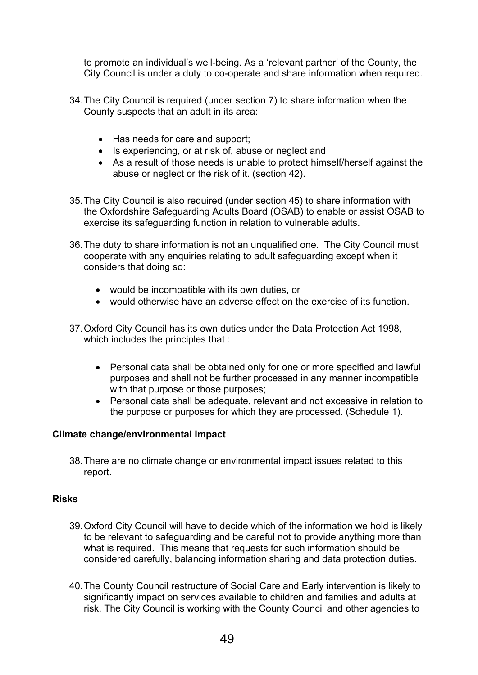to promote an individual's well-being. As a 'relevant partner' of the County, the City Council is under a duty to co-operate and share information when required.

- 34.The City Council is required (under section 7) to share information when the County suspects that an adult in its area:
	- Has needs for care and support;
	- Is experiencing, or at risk of, abuse or neglect and
	- As a result of those needs is unable to protect himself/herself against the abuse or neglect or the risk of it. (section 42).
- 35.The City Council is also required (under section 45) to share information with the Oxfordshire Safeguarding Adults Board (OSAB) to enable or assist OSAB to exercise its safeguarding function in relation to vulnerable adults.
- 36.The duty to share information is not an unqualified one. The City Council must cooperate with any enquiries relating to adult safeguarding except when it considers that doing so:
	- would be incompatible with its own duties, or
	- would otherwise have an adverse effect on the exercise of its function.
- 37.Oxford City Council has its own duties under the Data Protection Act 1998, which includes the principles that :
	- Personal data shall be obtained only for one or more specified and lawful purposes and shall not be further processed in any manner incompatible with that purpose or those purposes;
	- Personal data shall be adequate, relevant and not excessive in relation to the purpose or purposes for which they are processed. (Schedule 1).

## **Climate change/environmental impact**

38.There are no climate change or environmental impact issues related to this report.

## **Risks**

- 39.Oxford City Council will have to decide which of the information we hold is likely to be relevant to safeguarding and be careful not to provide anything more than what is required. This means that requests for such information should be considered carefully, balancing information sharing and data protection duties.
- 40.The County Council restructure of Social Care and Early intervention is likely to significantly impact on services available to children and families and adults at risk. The City Council is working with the County Council and other agencies to